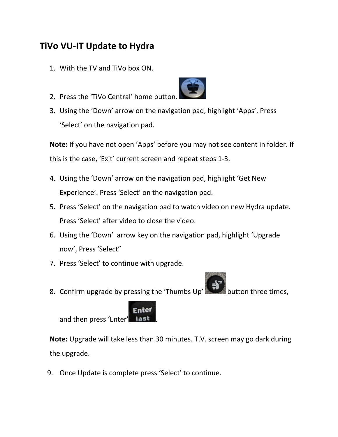## **TiVo VU-IT Update to Hydra**

- 1. With the TV and TiVo box ON.
- 2. Press the 'TiVo Central' home button.



3. Using the 'Down' arrow on the navigation pad, highlight 'Apps'. Press 'Select' on the navigation pad.

**Note:** If you have not open 'Apps' before you may not see content in folder. If this is the case, 'Exit' current screen and repeat steps 1-3.

- 4. Using the 'Down' arrow on the navigation pad, highlight 'Get New Experience'. Press 'Select' on the navigation pad.
- 5. Press 'Select' on the navigation pad to watch video on new Hydra update. Press 'Select' after video to close the video.
- 6. Using the 'Down' arrow key on the navigation pad, highlight 'Upgrade now', Press 'Select"
- 7. Press 'Select' to continue with upgrade.
- 8. Confirm upgrade by pressing the 'Thumbs  $Up'$  button three times,



**Note:** Upgrade will take less than 30 minutes. T.V. screen may go dark during the upgrade.

9. Once Update is complete press 'Select' to continue.